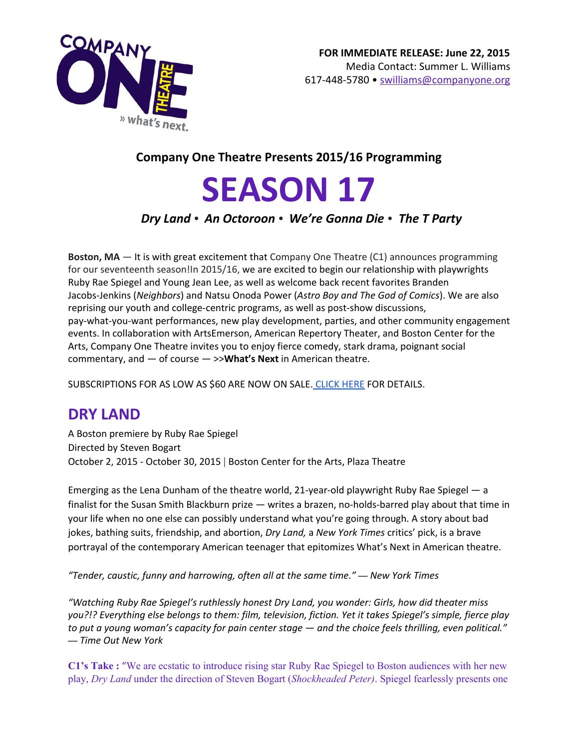

## **Company One Theatre Presents 2015/16 Programming**

# **SEASON 17**

## *Dry Land • An Octoroon • We're Gonna Die • The T Party*

**Boston, MA** — It is with great excitement that Company One Theatre (C1) announces programming for our seventeenth season!In 2015/16, we are excited to begin our relationship with playwrights Ruby Rae Spiegel and Young Jean Lee, as well as welcome back recent favorites Branden Jacobs-Jenkins (*Neighbors*) and Natsu Onoda Power (*Astro Boy and The God of Comics*). We are also reprising our youth and college-centric programs, as well as post-show discussions, pay-what-you-want performances, new play development, parties, and other community engagement events. In collaboration with ArtsEmerson, American Repertory Theater, and Boston Center for the Arts, Company One Theatre invites you to enjoy fierce comedy, stark drama, poignant social commentary, and *—* of course *—* >>**What's Next**in American theatre.

SUBSCRIPTIONS FOR AS LOW AS \$60 ARE NOW ON SALE. [CLICK](http://companyone.org/current-season/season-17/) HERE FOR DETAILS.

## **DRY LAND**

A Boston premiere by Ruby Rae Spiegel Directed by Steven Bogart October 2, 2015 - October 30, 2015 | Boston Center for the Arts, Plaza Theatre

Emerging as the Lena Dunham of the theatre world, 21-year-old playwright Ruby Rae Spiegel — a finalist for the Susan Smith Blackburn prize *—* writes a brazen, no-holds-barred play about that time in your life when no one else can possibly understand what you're going through. A story about bad jokes, bathing suits, friendship, and abortion, *Dry Land,* a *New York Times* critics' pick, is a brave portrayal of the contemporary American teenager that epitomizes What's Next in American theatre.

*"Tender, caustic, funny and harrowing, often all at the same time." — New York Times*

*"Watching Ruby Rae Spiegel's ruthlessly honest Dry Land, you wonder: Girls, how did theater miss you?!? Everything else belongs to them: film, television, fiction. Yet it takes Spiegel's simple, fierce play* to put a young woman's capacity for pain center stage  $-$  and the choice feels thrilling, even political." *— Time Out New York*

**C1's Take :**"We are ecstatic to introduce rising star Ruby Rae Spiegel to Boston audiences with her new play, *Dry Land* under the direction of Steven Bogart (*Shockheaded Peter)*. Spiegel fearlessly presents one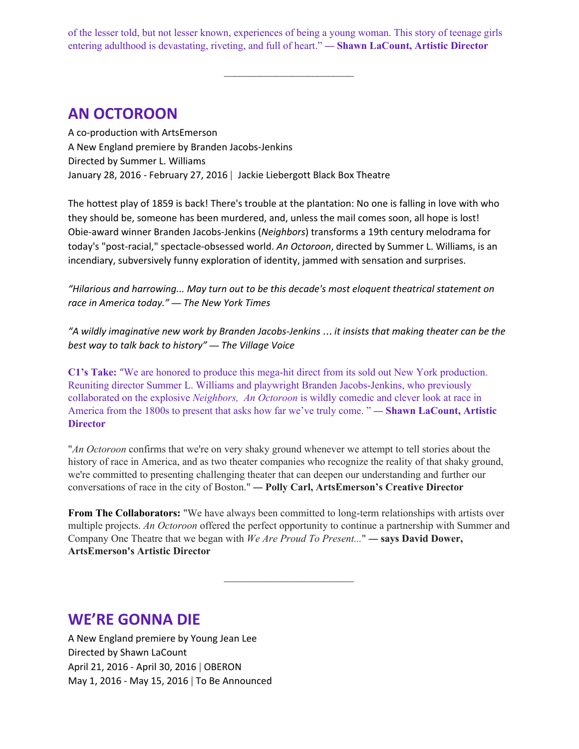of the lesser told, but not lesser known, experiences of being a young woman. This story of teenage girls entering adulthood is devastating, riveting, and full of heart." *—* **Shawn LaCount, Artistic Director**

 $\mathcal{L}_\text{max}$ 

# **AN OCTOROON**

A co-production with ArtsEmerson A New England premiere by Branden Jacobs-Jenkins Directed by Summer L. Williams January 28, 2016 - February 27, 2016 | Jackie Liebergott Black Box Theatre

The hottest play of 1859 is back! There's trouble at the plantation: No one is falling in love with who they should be, someone has been murdered, and, unless the mail comes soon, all hope is lost! Obie-award winner Branden Jacobs-Jenkins (*Neighbors*) transforms a 19th century melodrama for today's "post-racial," spectacle-obsessed world. *An Octoroon*, directed by Summer L. Williams, is an incendiary, subversively funny exploration of identity, jammed with sensation and surprises.

*"Hilarious and harrowing... May turn out to be this decade's most eloquent theatrical statement on race in America today." — The New York Times*

*"A wildly imaginative new work by Branden Jacobs-Jenkins* … *it insists that making theater can be the best way to talk back to history" — The Village Voice*

**C1's Take:** "We are honored to produce this mega-hit direct from its sold out New York production. Reuniting director Summer L. Williams and playwright Branden Jacobs-Jenkins, who previously collaborated on the explosive *Neighbors, An Octoroon* is wildly comedic and clever look at race in America from the 1800s to present that asks how far we've truly come. " *—* **Shawn LaCount, Artistic Director**

"*An Octoroon* confirms that we're on very shaky ground whenever we attempt to tell stories about the history of race in America, and as two theater companies who recognize the reality of that shaky ground, we're committed to presenting challenging theater that can deepen our understanding and further our conversations of race in the city of Boston." *—* **Polly Carl, ArtsEmerson's Creative Director**

**From The Collaborators:** "We have always been committed to long-term relationships with artists over multiple projects. *An Octoroon* offered the perfect opportunity to continue a partnership with Summer and Company One Theatre that we began with *We Are Proud To Present...*" *—* **says David Dower, ArtsEmerson's Artistic Director**

 $\mathcal{L}_\text{max}$ 

## **WE'RE GONNA DIE**

A New England premiere by Young Jean Lee Directed by Shawn LaCount April 21, 2016 - April 30, 2016 | OBERON May 1, 2016 - May 15, 2016 | To Be Announced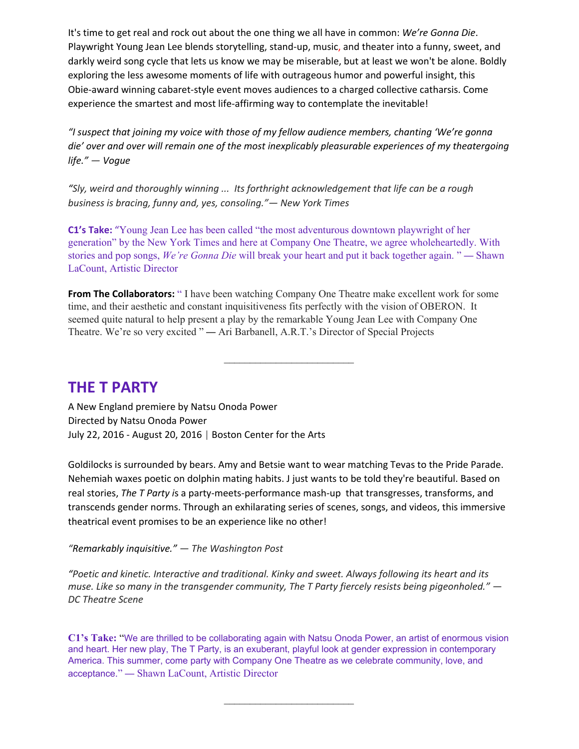It's time to get real and rock out about the one thing we all have in common: *We're Gonna Die*. Playwright Young Jean Lee blends storytelling, stand-up, music, and theater into a funny, sweet, and darkly weird song cycle that lets us know we may be miserable, but at least we won't be alone. Boldly exploring the less awesome moments of life with outrageous humor and powerful insight, this Obie-award winning cabaret-style event moves audiences to a charged collective catharsis. Come experience the smartest and most life-affirming way to contemplate the inevitable!

*"I suspect that joining my voice with those of my fellow audience members, chanting 'We're gonna die' over and over will remain one of the most inexplicably pleasurable experiences of my theatergoing life." — Vogue*

*"Sly, weird and thoroughly winning ... Its forthright acknowledgement that life can be a rough business is bracing, funny and, yes, consoling."— New York Times*

**C1's Take:** "Young Jean Lee has been called "the most adventurous downtown playwright of her generation" by the New York Times and here at Company One Theatre, we agree wholeheartedly. With stories and pop songs, *We're Gonna Die* will break your heart and put it back together again. " *—* Shawn LaCount, Artistic Director

**From The Collaborators:**" I have been watching Company One Theatre make excellent work for some time, and their aesthetic and constant inquisitiveness fits perfectly with the vision of OBERON. It seemed quite natural to help present a play by the remarkable Young Jean Lee with Company One Theatre. We're so very excited " *—* Ari Barbanell, A.R.T.'s Director of Special Projects

 $\mathcal{L}_\text{max}$ 

## **THE T PARTY**

A New England premiere by Natsu Onoda Power Directed by Natsu Onoda Power July 22, 2016 - August 20, 2016 | Boston Center for the Arts

Goldilocks is surrounded by bears. Amy and Betsie want to wear matching Tevas to the Pride Parade. Nehemiah waxes poetic on dolphin mating habits. J just wants to be told they're beautiful. Based on real stories, *The T Party i*s a party-meets-performance mash-up that transgresses, transforms, and transcends gender norms. Through an exhilarating series of scenes, songs, and videos, this immersive theatrical event promises to be an experience like no other!

*"Remarkably inquisitive." — The Washington Post*

*"Poetic and kinetic. Interactive and traditional. Kinky and sweet. Always following its heart and its muse. Like so many in the transgender community, The T Party fiercely resists being pigeonholed." — DC Theatre Scene*

**C1's Take:** "We are thrilled to be collaborating again with Natsu Onoda Power, an artist of enormous vision and heart. Her new play, The T Party, is an exuberant, playful look at gender expression in contemporary America. This summer, come party with Company One Theatre as we celebrate community, love, and acceptance." *—* Shawn LaCount, Artistic Director

 $\mathcal{L}_\text{max}$